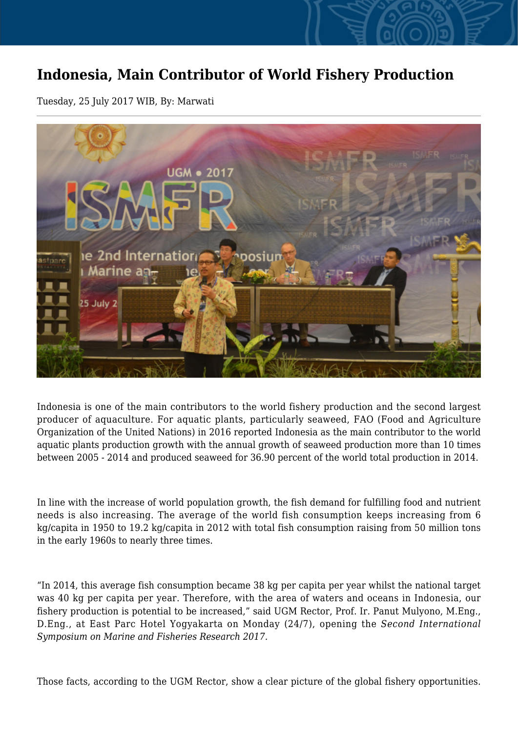## **Indonesia, Main Contributor of World Fishery Production**

Tuesday, 25 July 2017 WIB, By: Marwati



Indonesia is one of the main contributors to the world fishery production and the second largest producer of aquaculture. For aquatic plants, particularly seaweed, FAO (Food and Agriculture Organization of the United Nations) in 2016 reported Indonesia as the main contributor to the world aquatic plants production growth with the annual growth of seaweed production more than 10 times between 2005 - 2014 and produced seaweed for 36.90 percent of the world total production in 2014.

In line with the increase of world population growth, the fish demand for fulfilling food and nutrient needs is also increasing. The average of the world fish consumption keeps increasing from 6 kg/capita in 1950 to 19.2 kg/capita in 2012 with total fish consumption raising from 50 million tons in the early 1960s to nearly three times.

"In 2014, this average fish consumption became 38 kg per capita per year whilst the national target was 40 kg per capita per year. Therefore, with the area of waters and oceans in Indonesia, our fishery production is potential to be increased," said UGM Rector, Prof. Ir. Panut Mulyono, M.Eng., D.Eng., at East Parc Hotel Yogyakarta on Monday (24/7), opening the *Second International Symposium on Marine and Fisheries Research 2017.*

Those facts, according to the UGM Rector, show a clear picture of the global fishery opportunities.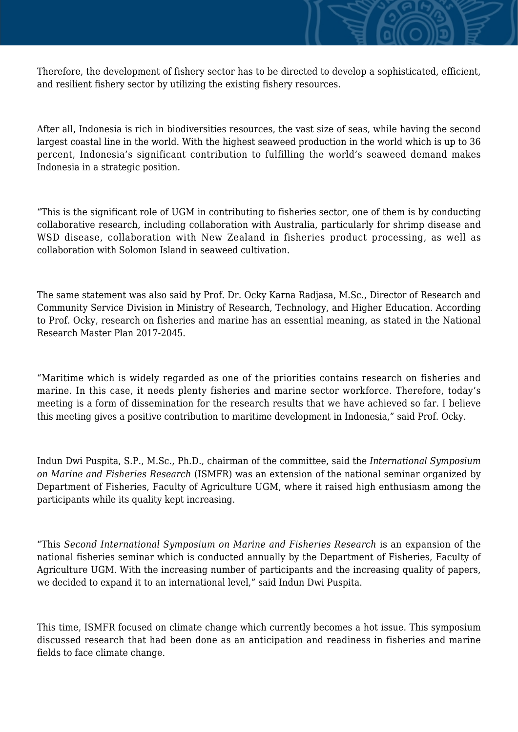Therefore, the development of fishery sector has to be directed to develop a sophisticated, efficient, and resilient fishery sector by utilizing the existing fishery resources.

After all, Indonesia is rich in biodiversities resources, the vast size of seas, while having the second largest coastal line in the world. With the highest seaweed production in the world which is up to 36 percent, Indonesia's significant contribution to fulfilling the world's seaweed demand makes Indonesia in a strategic position.

"This is the significant role of UGM in contributing to fisheries sector, one of them is by conducting collaborative research, including collaboration with Australia, particularly for shrimp disease and WSD disease, collaboration with New Zealand in fisheries product processing, as well as collaboration with Solomon Island in seaweed cultivation.

The same statement was also said by Prof. Dr. Ocky Karna Radjasa, M.Sc., Director of Research and Community Service Division in Ministry of Research, Technology, and Higher Education. According to Prof. Ocky, research on fisheries and marine has an essential meaning, as stated in the National Research Master Plan 2017-2045.

"Maritime which is widely regarded as one of the priorities contains research on fisheries and marine. In this case, it needs plenty fisheries and marine sector workforce. Therefore, today's meeting is a form of dissemination for the research results that we have achieved so far. I believe this meeting gives a positive contribution to maritime development in Indonesia," said Prof. Ocky.

Indun Dwi Puspita, S.P., M.Sc., Ph.D., chairman of the committee, said the *International Symposium on Marine and Fisheries Research* (ISMFR) was an extension of the national seminar organized by Department of Fisheries, Faculty of Agriculture UGM, where it raised high enthusiasm among the participants while its quality kept increasing.

"This *Second International Symposium on Marine and Fisheries Research* is an expansion of the national fisheries seminar which is conducted annually by the Department of Fisheries, Faculty of Agriculture UGM. With the increasing number of participants and the increasing quality of papers, we decided to expand it to an international level," said Indun Dwi Puspita.

This time, ISMFR focused on climate change which currently becomes a hot issue. This symposium discussed research that had been done as an anticipation and readiness in fisheries and marine fields to face climate change.